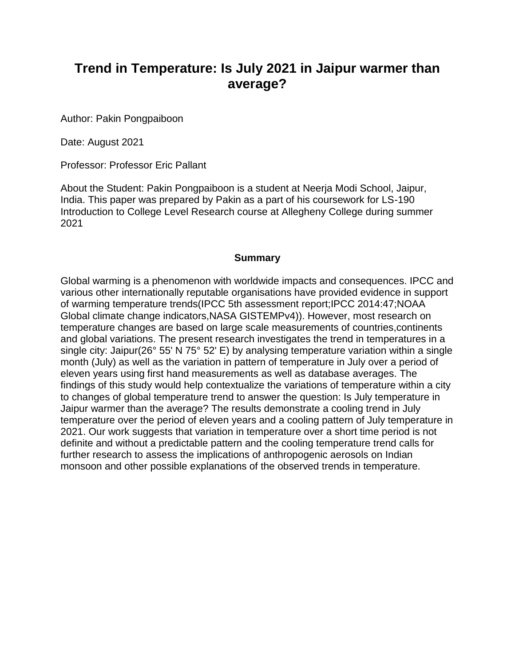# **Trend in Temperature: Is July 2021 in Jaipur warmer than average?**

Author: Pakin Pongpaiboon

Date: August 2021

Professor: Professor Eric Pallant

About the Student: Pakin Pongpaiboon is a student at Neerja Modi School, Jaipur, India. This paper was prepared by Pakin as a part of his coursework for LS-190 Introduction to College Level Research course at Allegheny College during summer 2021

## **Summary**

Global warming is a phenomenon with worldwide impacts and consequences. IPCC and various other internationally reputable organisations have provided evidence in support of warming temperature trends(IPCC 5th assessment report;IPCC 2014:47;NOAA Global climate change indicators,NASA GISTEMPv4)). However, most research on temperature changes are based on large scale measurements of countries,continents and global variations. The present research investigates the trend in temperatures in a single city: Jaipur(26° 55' N 75° 52' E) by analysing temperature variation within a single month (July) as well as the variation in pattern of temperature in July over a period of eleven years using first hand measurements as well as database averages. The findings of this study would help contextualize the variations of temperature within a city to changes of global temperature trend to answer the question: Is July temperature in Jaipur warmer than the average? The results demonstrate a cooling trend in July temperature over the period of eleven years and a cooling pattern of July temperature in 2021. Our work suggests that variation in temperature over a short time period is not definite and without a predictable pattern and the cooling temperature trend calls for further research to assess the implications of anthropogenic aerosols on Indian monsoon and other possible explanations of the observed trends in temperature.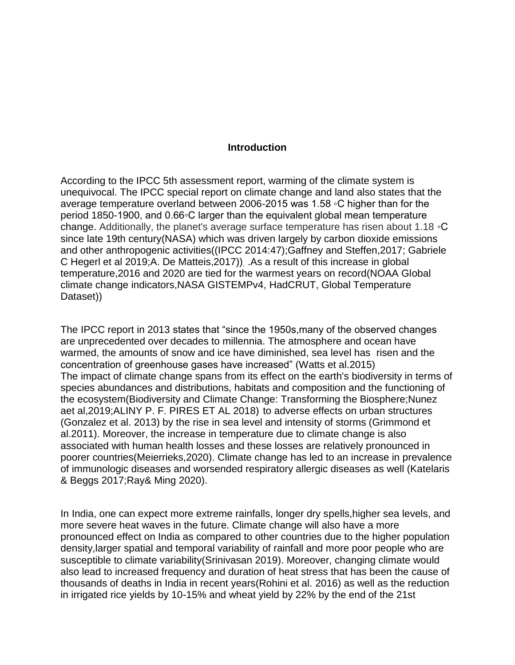### **Introduction**

According to the IPCC 5th assessment report, warming of the climate system is unequivocal. The IPCC special report on climate change and land also states that the average temperature overland between 2006-2015 was 1.58 ◦C higher than for the period 1850-1900, and 0.66◦C larger than the equivalent global mean temperature change. Additionally, the planet's average surface temperature has risen about 1.18 ◦C since late 19th century(NASA) which was driven largely by carbon dioxide emissions and other anthropogenic activities((IPCC 2014:47);Gaffney and Steffen,2017; Gabriele C Hegerl et al 2019;A. De Matteis,2017)). .As a result of this increase in global temperature,2016 and 2020 are tied for the warmest years on record(NOAA Global climate change indicators,NASA GISTEMPv4, HadCRUT, Global Temperature Dataset))

The IPCC report in 2013 states that "since the 1950s,many of the observed changes are unprecedented over decades to millennia. The atmosphere and ocean have warmed, the amounts of snow and ice have diminished, sea level has risen and the concentration of greenhouse gases have increased" (Watts et al.2015) The impact of climate change spans from its effect on the earth's biodiversity in terms of species abundances and distributions, habitats and composition and the functioning of the ecosystem(Biodiversity and Climate Change: Transforming the Biosphere;Nunez aet al,2019;ALINY P. F. PIRES ET AL 2018) to adverse effects on urban structures (Gonzalez et al. 2013) by the rise in sea level and intensity of storms (Grimmond et al.2011). Moreover, the increase in temperature due to climate change is also associated with human health losses and these losses are relatively pronounced in poorer countries(Meierrieks,2020). Climate change has led to an increase in prevalence of immunologic diseases and worsended respiratory allergic diseases as well (Katelaris & Beggs 2017;Ray& Ming 2020).

In India, one can expect more extreme rainfalls, longer dry spells,higher sea levels, and more severe heat waves in the future. Climate change will also have a more pronounced effect on India as compared to other countries due to the higher population density,larger spatial and temporal variability of rainfall and more poor people who are susceptible to climate variability(Srinivasan 2019). Moreover, changing climate would also lead to increased frequency and duration of heat stress that has been the cause of thousands of deaths in India in recent years(Rohini et al. 2016) as well as the reduction in irrigated rice yields by 10-15% and wheat yield by 22% by the end of the 21st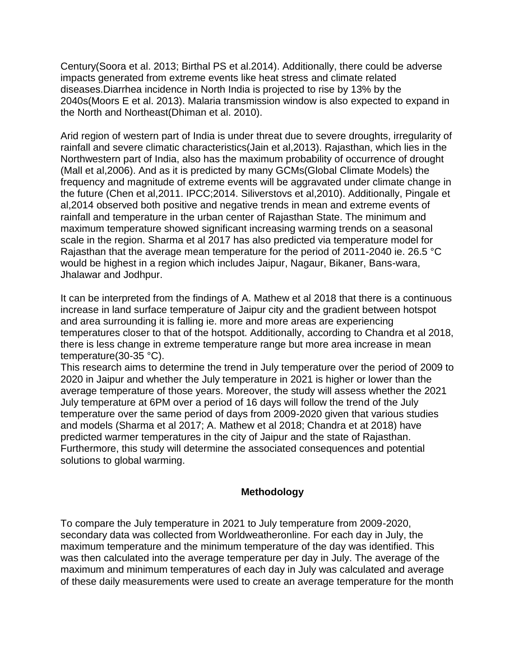Century(Soora et al. 2013; Birthal PS et al.2014). Additionally, there could be adverse impacts generated from extreme events like heat stress and climate related diseases.Diarrhea incidence in North India is projected to rise by 13% by the 2040s(Moors E et al. 2013). Malaria transmission window is also expected to expand in the North and Northeast(Dhiman et al. 2010).

Arid region of western part of India is under threat due to severe droughts, irregularity of rainfall and severe climatic characteristics(Jain et al,2013). Rajasthan, which lies in the Northwestern part of India, also has the maximum probability of occurrence of drought (Mall et al,2006). And as it is predicted by many GCMs(Global Climate Models) the frequency and magnitude of extreme events will be aggravated under climate change in the future (Chen et al,2011. IPCC;2014. Siliverstovs et al,2010). Additionally, Pingale et al,2014 observed both positive and negative trends in mean and extreme events of rainfall and temperature in the urban center of Rajasthan State. The minimum and maximum temperature showed significant increasing warming trends on a seasonal scale in the region. Sharma et al 2017 has also predicted via temperature model for Rajasthan that the average mean temperature for the period of 2011-2040 ie. 26.5 °C would be highest in a region which includes Jaipur, Nagaur, Bikaner, Bans-wara, Jhalawar and Jodhpur.

It can be interpreted from the findings of A. Mathew et al 2018 that there is a continuous increase in land surface temperature of Jaipur city and the gradient between hotspot and area surrounding it is falling ie. more and more areas are experiencing temperatures closer to that of the hotspot. Additionally, according to Chandra et al 2018, there is less change in extreme temperature range but more area increase in mean temperature(30-35 °C).

This research aims to determine the trend in July temperature over the period of 2009 to 2020 in Jaipur and whether the July temperature in 2021 is higher or lower than the average temperature of those years. Moreover, the study will assess whether the 2021 July temperature at 6PM over a period of 16 days will follow the trend of the July temperature over the same period of days from 2009-2020 given that various studies and models (Sharma et al 2017; A. Mathew et al 2018; Chandra et at 2018) have predicted warmer temperatures in the city of Jaipur and the state of Rajasthan. Furthermore, this study will determine the associated consequences and potential solutions to global warming.

# **Methodology**

To compare the July temperature in 2021 to July temperature from 2009-2020, secondary data was collected from Worldweatheronline. For each day in July, the maximum temperature and the minimum temperature of the day was identified. This was then calculated into the average temperature per day in July. The average of the maximum and minimum temperatures of each day in July was calculated and average of these daily measurements were used to create an average temperature for the month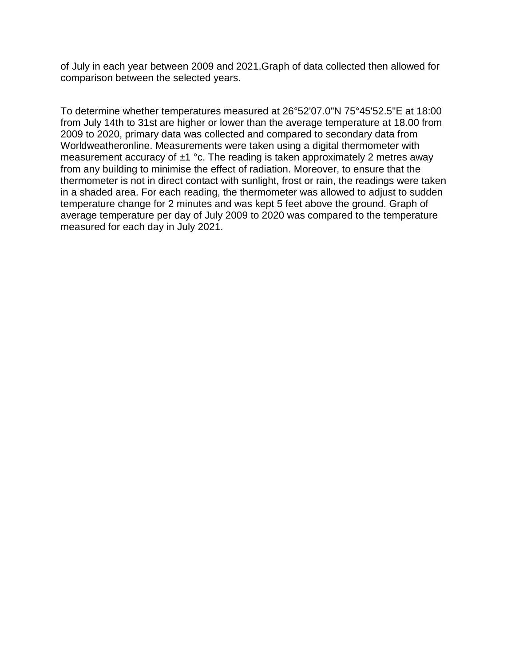of July in each year between 2009 and 2021.Graph of data collected then allowed for comparison between the selected years.

To determine whether temperatures measured at 26°52'07.0"N 75°45'52.5"E at 18:00 from July 14th to 31st are higher or lower than the average temperature at 18.00 from 2009 to 2020, primary data was collected and compared to secondary data from Worldweatheronline. Measurements were taken using a digital thermometer with measurement accuracy of ±1 °c. The reading is taken approximately 2 metres away from any building to minimise the effect of radiation. Moreover, to ensure that the thermometer is not in direct contact with sunlight, frost or rain, the readings were taken in a shaded area. For each reading, the thermometer was allowed to adjust to sudden temperature change for 2 minutes and was kept 5 feet above the ground. Graph of average temperature per day of July 2009 to 2020 was compared to the temperature measured for each day in July 2021.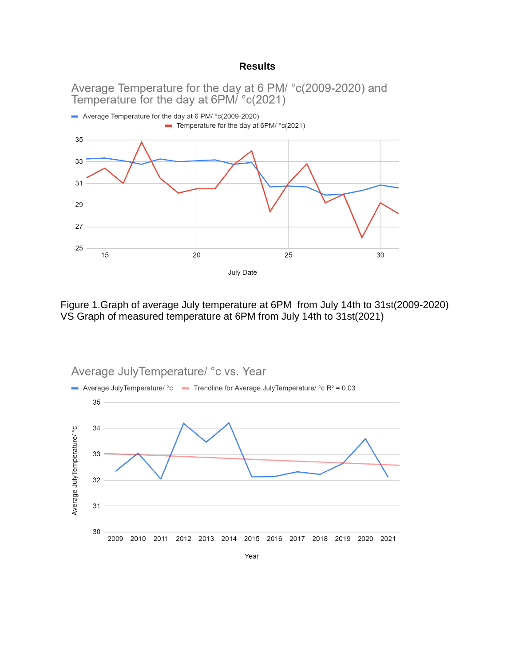## **Results**

Average Temperature for the day at 6 PM/ °c(2009-2020) and<br>Temperature for the day at 6PM/ °c(2021)



Figure 1.Graph of average July temperature at 6PM from July 14th to 31st(2009-2020) VS Graph of measured temperature at 6PM from July 14th to 31st(2021)

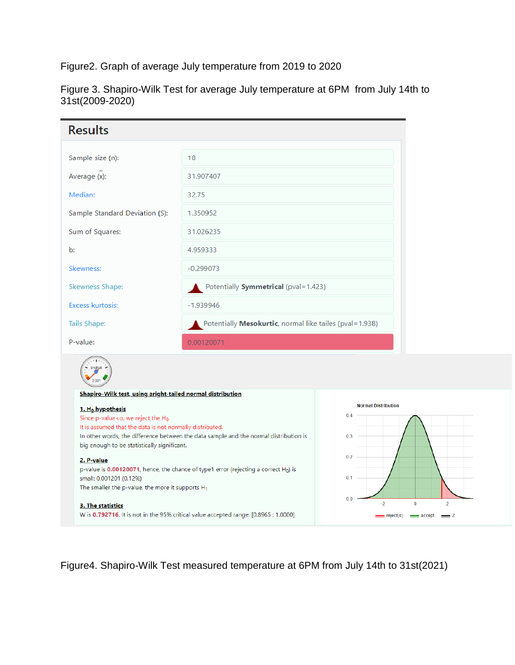Figure2. Graph of average July temperature from 2019 to 2020

Figure 3. Shapiro-Wilk Test for average July temperature at 6PM from July 14th to 31st(2009-2020)

| <b>Results</b>                                                                                          |                                                                                       |                            |  |
|---------------------------------------------------------------------------------------------------------|---------------------------------------------------------------------------------------|----------------------------|--|
| Sample size (n):                                                                                        | 18                                                                                    |                            |  |
| Average (x):                                                                                            | 31.907407                                                                             |                            |  |
| Median:                                                                                                 | 32.75                                                                                 |                            |  |
| Sample Standard Deviation (S):                                                                          | 1.350952                                                                              |                            |  |
| Sum of Squares:                                                                                         | 31.026235                                                                             |                            |  |
| $\mathbf{b}$ :                                                                                          | 4.959333                                                                              |                            |  |
| Skewness:                                                                                               | $-0.299073$                                                                           |                            |  |
| Skewness Shape:                                                                                         | Potentially Symmetrical (pval=1.423)<br>$-1.939946$                                   |                            |  |
| <b>Excess kurtosis:</b>                                                                                 |                                                                                       |                            |  |
| Tails Shape:                                                                                            | Potentially Mesokurtic, normal like tailes (pval=1.938)                               |                            |  |
| P-value:                                                                                                | 0.00120071                                                                            |                            |  |
| p-value<br>0.001                                                                                        |                                                                                       |                            |  |
| Shapiro-Wilk test, using aright-tailed normal distribution                                              |                                                                                       | <b>Normal Distribution</b> |  |
| 1. H <sub>0</sub> hypothesis<br>Since p-value < $\alpha$ , we reject the H <sub>0</sub> .               |                                                                                       | 0.4                        |  |
| It is assumed that the data is not normally distributed.<br>big enough to be statistically significant. | In other words, the difference between the data sample and the normal distribution is | 0.3                        |  |

#### 2. P-value

p-value is 0.00120071, hence, the chance of type1 error (rejecting a correct H<sub>0</sub>) is small: 0.001201 (0.12%) The smaller the p-value, the more it supports  $H_1$ 

#### 3. The statistics

W is 0.792716. It is not in the 95% critical value accepted range: [0.8965 : 1.0000]



Figure4. Shapiro-Wilk Test measured temperature at 6PM from July 14th to 31st(2021)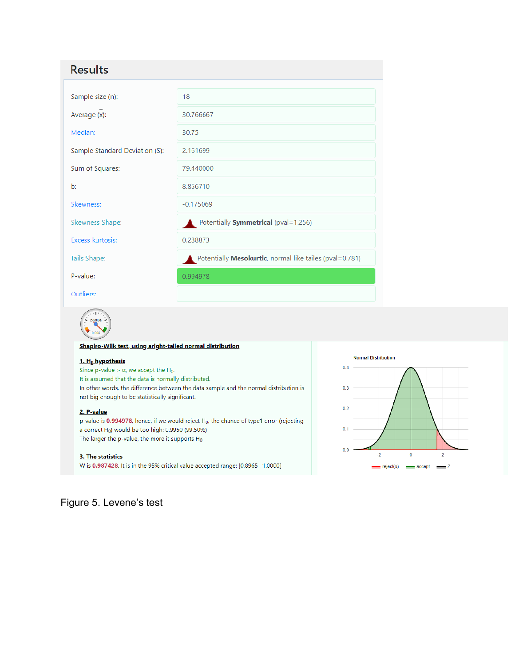| <b>Results</b>                 |                                                         |  |  |
|--------------------------------|---------------------------------------------------------|--|--|
|                                |                                                         |  |  |
| Sample size (n):               | 18                                                      |  |  |
| Average (x):                   | 30.766667                                               |  |  |
| Median:                        | 30.75                                                   |  |  |
| Sample Standard Deviation (S): | 2.161699                                                |  |  |
| Sum of Squares:                | 79.440000                                               |  |  |
| b:                             | 8.856710                                                |  |  |
| Skewness:                      | $-0.175069$                                             |  |  |
| Skewness Shape:                | Potentially Symmetrical (pval=1.256)                    |  |  |
| Excess kurtosis:               | 0.288873                                                |  |  |
| Tails Shape:                   | Potentially Mesokurtic, normal like tailes (pval=0.781) |  |  |
| P-value:                       | 0.994978                                                |  |  |
| Outliers:                      |                                                         |  |  |



#### Shapiro-Wilk test, using aright-tailed normal distribution

#### 1. H<sub>0</sub> hypothesis

Since p-value >  $\alpha$ , we accept the H<sub>0</sub>. It is assumed that the data is normally distributed. In other words, the difference between the data sample and the normal distribution is not big enough to be statistically significant.

#### 2. P-value

p-value is 0.994978, hence, if we would reject H<sub>0</sub>, the chance of type1 error (rejecting a correct  $H_0$ ) would be too high: 0.9950 (99.50%) The larger the p-value, the more it supports  $H_0$ 

#### 3. The statistics

W is 0.987428. It is in the 95% critical value accepted range: [0.8965 : 1.0000]





Figure 5. Levene's test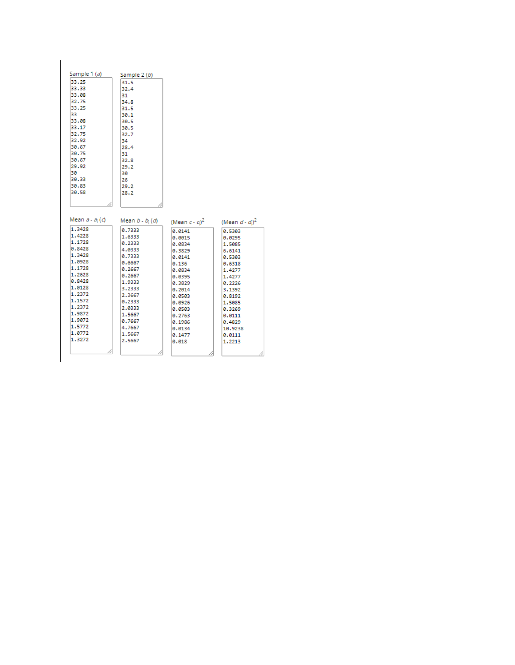| Sample 1 (a)      | Sample 2 (b)      |                                |                                  |
|-------------------|-------------------|--------------------------------|----------------------------------|
| 33.25             | 31.5              |                                |                                  |
| 33.33             | 32.4              |                                |                                  |
| 33.08             | 31                |                                |                                  |
| 32.75             | 34.8              |                                |                                  |
| 33.25             | 31.5              |                                |                                  |
| 33                | 30.1              |                                |                                  |
| 33.08             | 30.5              |                                |                                  |
| 33.17             | 30.5              |                                |                                  |
| 32.75             | 32.7              |                                |                                  |
| 32.92             | 34                |                                |                                  |
| 30.67             | 28.4              |                                |                                  |
| 30.75             | 31                |                                |                                  |
| 30.67             | 32.8              |                                |                                  |
| 29.92             | 29.2              |                                |                                  |
| 30                | 30                |                                |                                  |
| 30.33             | 26                |                                |                                  |
| 30.83             | 29.2              |                                |                                  |
| 30.58             | 28.2              |                                |                                  |
|                   |                   |                                |                                  |
|                   |                   |                                |                                  |
|                   |                   |                                |                                  |
|                   |                   |                                |                                  |
| Mean $a - a_i(c)$ | Mean $b - b_i(d)$ | (Mean $c - c_i$ ) <sup>2</sup> | (Mean $d$ - $d_i$ ) <sup>2</sup> |
| 1.3428            | 0.7333            | 0.0141                         | 0.5303                           |
| 1,4228            | 1,6333            | 0.0015                         | 0.0295                           |
| 1.1728            | 0.2333            | 0.0834                         | 1.5085                           |
| 0.8428            | 4.0333            | 0.3829                         | 6.6141                           |
| 1.3428            | 0.7333            | 0.0141                         | 0.5303                           |
| 1.0928            | 0.6667            | 0.136                          | 0.6318                           |
| 1,1728            | 0.2667            | 0.0834                         | 1,4277                           |
| 1.2628            | 0.2667            | 0.0395                         | 1.4277                           |
| 0.8428            | 1,9333            | 0.3829                         | 0.2226                           |
| 1.0128            | 3,2333            | 0.2014                         | 3.1392                           |
| 1.2372            | 2.3667            | 0.0503                         | 0.8192                           |
| 1.1572            | 0.2333            | 0.0926                         | 1.5085                           |
| 1,2372            | 2.0333            | 0.0503                         | 0.3269                           |
| 1,9872            | 1,5667            | 0.2763                         | 0.0111                           |
| 1.9072            | 0.7667            | 0.1986                         | 0.4829                           |
| 1.5772            | 4.7667            | 0.0134                         | 10.9238                          |
| 1.0772            | 1,5667            | 0.1477                         | 0.0111                           |
| 1,3272            | 2.5667            | 0.018                          | 1.2213                           |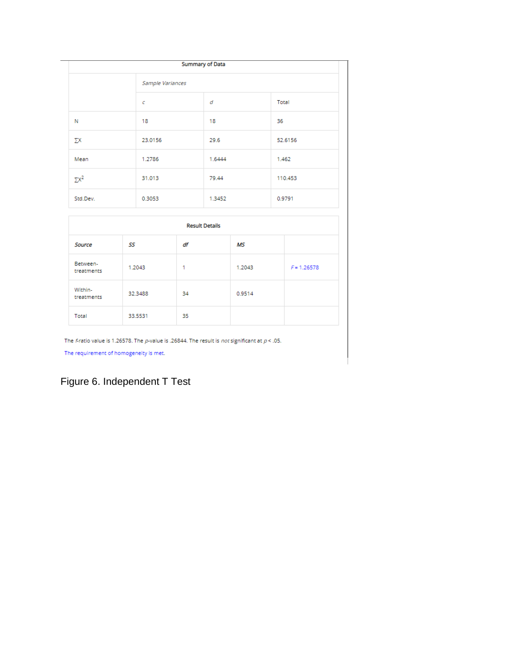| Summary of Data |                  |        |         |
|-----------------|------------------|--------|---------|
|                 | Sample Variances |        |         |
|                 | $\epsilon$       | d      | Total   |
| N               | 18               | 18     | 36      |
| ΣX              | 23.0156          | 29.6   | 52.6156 |
| Mean            | 1.2786           | 1.6444 | 1.462   |
| $\Sigma X^2$    | 31.013           | 79.44  | 110.453 |
| Std.Dev.        | 0.3053           | 1.3452 | 0.9791  |

| <b>Result Details</b>  |         |    |        |               |
|------------------------|---------|----|--------|---------------|
| <b>Source</b>          | SS      | df | МS     |               |
| Between-<br>treatments | 1.2043  | 1  | 1.2043 | $F = 1.26578$ |
| Within-<br>treatments  | 32.3488 | 34 | 0.9514 |               |
| Total                  | 33.5531 | 35 |        |               |

The *f*-ratio value is 1.26578. The *p*-value is .26844. The result is *not* significant at  $p < .05$ .

The requirement of homogeneity is met.

Figure 6. Independent T Test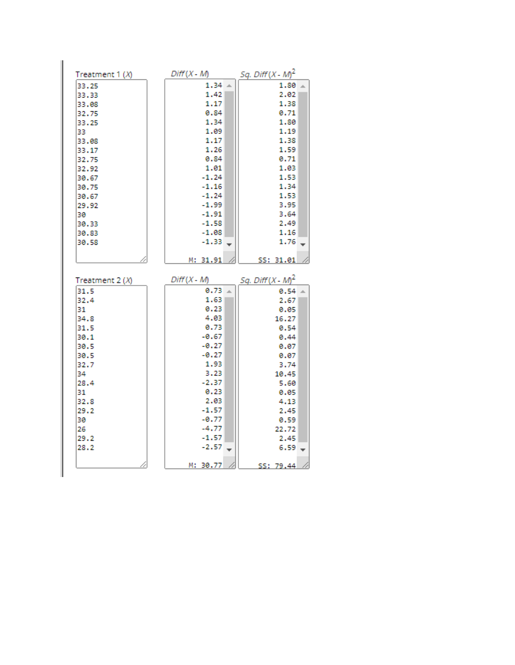| Treatment $1(X)$                                                                                       | $Diff(X-M)$   | Sq. Diff $(X - M)^2$ |
|--------------------------------------------------------------------------------------------------------|---------------|----------------------|
| 33.25                                                                                                  | $1.34 =$      | 1.80                 |
| 33.33                                                                                                  | 1.42          | 2.02                 |
| 33.08                                                                                                  | 1.17          | 1.38                 |
| 32.75                                                                                                  | 0.84          | 0.71                 |
| 33.25                                                                                                  | 1.34          | 1.80                 |
| 33                                                                                                     | 1.09          | 1.19                 |
| 33.08                                                                                                  | 1.17          | 1.38                 |
| 33.17                                                                                                  | 1.26          | 1.59                 |
| 32.75                                                                                                  | 0.84          | 0.71                 |
| 32.92                                                                                                  | 1.01          | 1.03                 |
| 30.67                                                                                                  | $-1.24$       | 1.53                 |
| 30.75                                                                                                  | $-1.16$       | 1.34                 |
| 30.67                                                                                                  | $-1.24$       | 1.53                 |
| 29.92                                                                                                  | $-1.99$       | 3.95                 |
| 30                                                                                                     | $-1.91$       | 3.64                 |
| 30.33                                                                                                  | $-1.58$       | 2.49                 |
| 30.83                                                                                                  | $-1.08$       | 1.16                 |
| 30.58                                                                                                  | $-1.33$       | 1.76                 |
|                                                                                                        | M: 31.91      | SS: 31.01            |
| Treatment $2(X)$                                                                                       | $Diff(X - M)$ | Sq. Diff $(X - M)^2$ |
| 31.5                                                                                                   | 0.73          | 0.54                 |
| 32.4                                                                                                   | 1.63          | 2.67                 |
| 31                                                                                                     | 0.23          | 0.05                 |
| 34.8                                                                                                   |               |                      |
|                                                                                                        | 4.03          | 16.27                |
|                                                                                                        | 0.73          | 0.54                 |
|                                                                                                        | $-0.67$       | 0.44                 |
|                                                                                                        | $-0.27$       | 0.07                 |
|                                                                                                        | $-0.27$       | 0.07                 |
|                                                                                                        | 1,93          | 3.74                 |
|                                                                                                        | 3.23          | 10.45                |
|                                                                                                        | $-2.37$       | 5.60                 |
|                                                                                                        | 0.23          | 0.05                 |
|                                                                                                        | 2.03          | 4.13                 |
|                                                                                                        | $-1.57$       | 2.45                 |
|                                                                                                        | $-0.77$       | 0.59                 |
|                                                                                                        | $-4.77$       | 22.72                |
|                                                                                                        | $-1.57$       | 2.45                 |
| 31.5<br>30.1<br>30.5<br>30.5<br>32.7<br>34<br>28.4<br>31<br>32.8<br>29.2<br>30.<br>26.<br>29.2<br>28.2 | $-2.57$       | 6.59                 |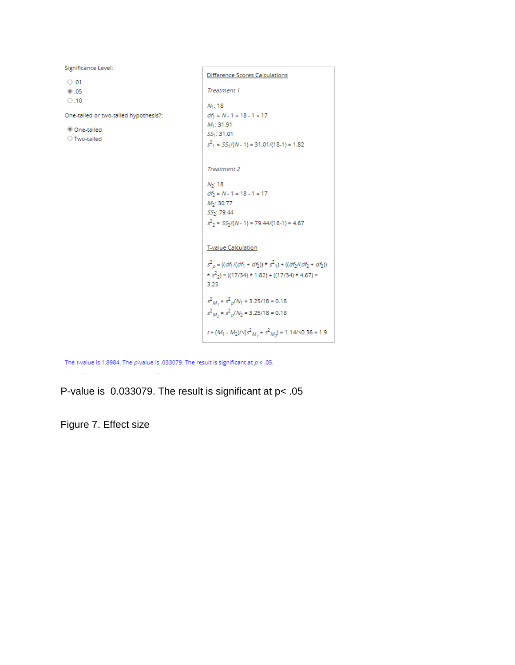| Significance Level:                   | Difference Scores Calculations                                                                  |  |
|---------------------------------------|-------------------------------------------------------------------------------------------------|--|
| $\bigcirc$ .01                        |                                                                                                 |  |
| @.05                                  | Treatment 1                                                                                     |  |
| $\circ$ .10                           | $N_1$ : 18                                                                                      |  |
| One-tailed or two-tailed hypothesis?: | $df_1 = N - 1 = 18 - 1 = 17$                                                                    |  |
|                                       | $M_1$ : 31.91                                                                                   |  |
| © One-tailed                          | SS <sub>1</sub> : 31.01                                                                         |  |
| ○ Two-tailed                          | $s^2$ <sub>1</sub> = $SS_1/(N-1)$ = 31.01/(18-1) = 1.82                                         |  |
|                                       |                                                                                                 |  |
|                                       |                                                                                                 |  |
|                                       | Treatment 2                                                                                     |  |
|                                       | $N_2$ : 18                                                                                      |  |
|                                       | $df_2 = N - 1 = 18 - 1 = 17$                                                                    |  |
|                                       | $M_2$ : 30.77                                                                                   |  |
|                                       | 55 <sub>2</sub> : 79.44                                                                         |  |
|                                       | $s^2$ <sub>2</sub> = $SS_2/(N-1)$ = 79.44/(18-1) = 4.67                                         |  |
|                                       |                                                                                                 |  |
|                                       |                                                                                                 |  |
|                                       | <b>T-value Calculation</b>                                                                      |  |
|                                       |                                                                                                 |  |
|                                       | $s^2_{p} = ((df_1/(df_1 + df_2)) * s^2_{1}) + ((df_2/(df_2 + df_2))$                            |  |
|                                       | $\star$ $s^2$ <sub>2</sub> ) = ((17/34) $\star$ 1.82) + ((17/34) $\star$ 4.67) =                |  |
|                                       | 3.25                                                                                            |  |
|                                       | $s^2_{M_1} = s^2_{p}/N_1 = 3.25/18 = 0.18$                                                      |  |
|                                       |                                                                                                 |  |
|                                       | $s^2$ <sub>M<sub>2</sub> = <math>s^2</math><sub>p</sub><math>/N_2</math> = 3.25/18 = 0.18</sub> |  |
|                                       |                                                                                                 |  |
|                                       | $t=(M_1\cdot M_2)/\sqrt{(s^2_{M_t}+s^2_{M_s})}=1.14/\sqrt{0.36}=1.9$                            |  |

The *t*-value is 1.8984. The *p*-value is .033079. The result is significant at  $p < .05$ .

 $\mathcal{L}^{\text{max}}$ 

P-value is 0.033079. The result is significant at p< .05

Figure 7. Effect size

 $\mathcal{L}_{\mathcal{C}}$  , and  $\mathcal{L}_{\mathcal{C}}$  , and  $\mathcal{L}_{\mathcal{C}}$  , and  $\mathcal{L}_{\mathcal{C}}$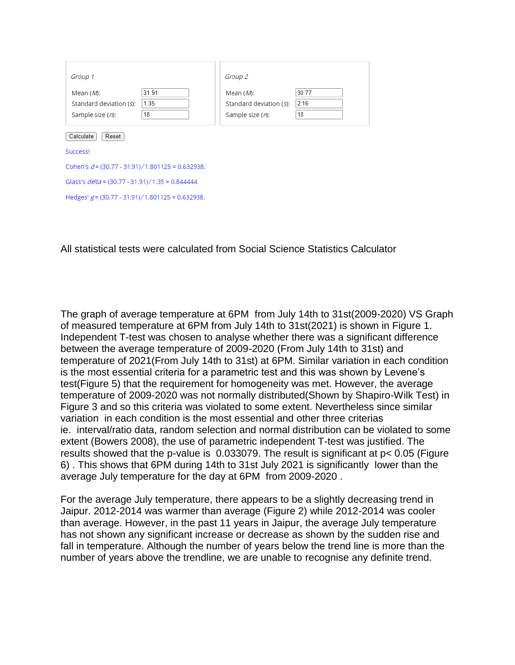| Group 1                                                                               | Group <sub>2</sub>                                          |                     |  |  |
|---------------------------------------------------------------------------------------|-------------------------------------------------------------|---------------------|--|--|
| 31.91<br>Mean $(M)$ :<br>1.35<br>Standard deviation $(s)$ :<br>18<br>Sample size (n): | Mean $(M)$ :<br>Standard deviation (s):<br>Sample size (n): | 30.77<br>2.16<br>18 |  |  |
| Calculate<br>Reset                                                                    |                                                             |                     |  |  |
| Success!                                                                              |                                                             |                     |  |  |
| Cohen's $d = (30.77 - 31.91)/1.801125 = 0.632938$ .                                   |                                                             |                     |  |  |
| Glass's $delta = (30.77 - 31.91)/1.35 = 0.844444$ .                                   |                                                             |                     |  |  |
| Hedges' $g = (30.77 - 31.91)/1.801125 = 0.632938$ .                                   |                                                             |                     |  |  |

All statistical tests were calculated from Social Science Statistics Calculator

The graph of average temperature at 6PM from July 14th to 31st(2009-2020) VS Graph of measured temperature at 6PM from July 14th to 31st(2021) is shown in Figure 1. Independent T-test was chosen to analyse whether there was a significant difference between the average temperature of 2009-2020 (From July 14th to 31st) and temperature of 2021(From July 14th to 31st) at 6PM. Similar variation in each condition is the most essential criteria for a parametric test and this was shown by Levene's test(Figure 5) that the requirement for homogeneity was met. However, the average temperature of 2009-2020 was not normally distributed(Shown by Shapiro-Wilk Test) in Figure 3 and so this criteria was violated to some extent. Nevertheless since similar variation in each condition is the most essential and other three criterias ie. interval/ratio data, random selection and normal distribution can be violated to some extent (Bowers 2008), the use of parametric independent T-test was justified. The results showed that the p-value is 0.033079. The result is significant at p< 0.05 (Figure 6) . This shows that 6PM during 14th to 31st July 2021 is significantly lower than the average July temperature for the day at 6PM from 2009-2020 .

For the average July temperature, there appears to be a slightly decreasing trend in Jaipur. 2012-2014 was warmer than average (Figure 2) while 2012-2014 was cooler than average. However, in the past 11 years in Jaipur, the average July temperature has not shown any significant increase or decrease as shown by the sudden rise and fall in temperature. Although the number of years below the trend line is more than the number of years above the trendline, we are unable to recognise any definite trend.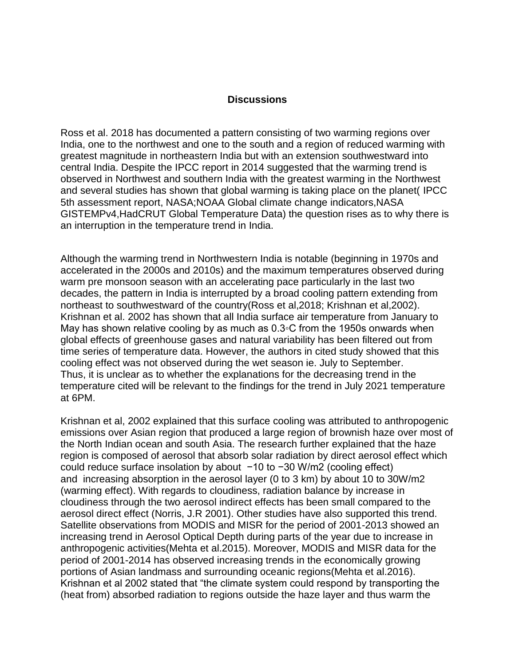## **Discussions**

Ross et al. 2018 has documented a pattern consisting of two warming regions over India, one to the northwest and one to the south and a region of reduced warming with greatest magnitude in northeastern India but with an extension southwestward into central India. Despite the IPCC report in 2014 suggested that the warming trend is observed in Northwest and southern India with the greatest warming in the Northwest and several studies has shown that global warming is taking place on the planet( IPCC 5th assessment report, NASA;NOAA Global climate change indicators,NASA GISTEMPv4,HadCRUT Global Temperature Data) the question rises as to why there is an interruption in the temperature trend in India.

Although the warming trend in Northwestern India is notable (beginning in 1970s and accelerated in the 2000s and 2010s) and the maximum temperatures observed during warm pre monsoon season with an accelerating pace particularly in the last two decades, the pattern in India is interrupted by a broad cooling pattern extending from northeast to southwestward of the country(Ross et al,2018; Krishnan et al,2002). Krishnan et al. 2002 has shown that all India surface air temperature from January to May has shown relative cooling by as much as 0.3◦C from the 1950s onwards when global effects of greenhouse gases and natural variability has been filtered out from time series of temperature data. However, the authors in cited study showed that this cooling effect was not observed during the wet season ie. July to September. Thus, it is unclear as to whether the explanations for the decreasing trend in the temperature cited will be relevant to the findings for the trend in July 2021 temperature at 6PM.

Krishnan et al, 2002 explained that this surface cooling was attributed to anthropogenic emissions over Asian region that produced a large region of brownish haze over most of the North Indian ocean and south Asia. The research further explained that the haze region is composed of aerosol that absorb solar radiation by direct aerosol effect which could reduce surface insolation by about −10 to −30 W/m2 (cooling effect) and increasing absorption in the aerosol layer (0 to 3 km) by about 10 to 30W/m2 (warming effect). With regards to cloudiness, radiation balance by increase in cloudiness through the two aerosol indirect effects has been small compared to the aerosol direct effect (Norris, J.R 2001). Other studies have also supported this trend. Satellite observations from MODIS and MISR for the period of 2001-2013 showed an increasing trend in Aerosol Optical Depth during parts of the year due to increase in anthropogenic activities(Mehta et al.2015). Moreover, MODIS and MISR data for the period of 2001-2014 has observed increasing trends in the economically growing portions of Asian landmass and surrounding oceanic regions(Mehta et al.2016). Krishnan et al 2002 stated that "the climate system could respond by transporting the (heat from) absorbed radiation to regions outside the haze layer and thus warm the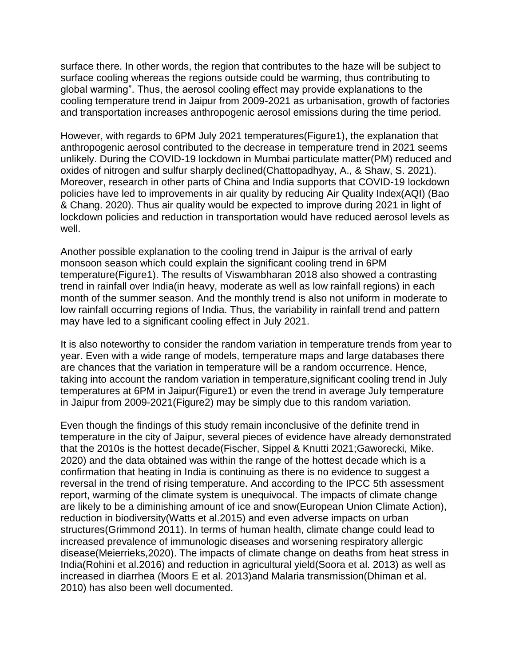surface there. In other words, the region that contributes to the haze will be subject to surface cooling whereas the regions outside could be warming, thus contributing to global warming". Thus, the aerosol cooling effect may provide explanations to the cooling temperature trend in Jaipur from 2009-2021 as urbanisation, growth of factories and transportation increases anthropogenic aerosol emissions during the time period.

However, with regards to 6PM July 2021 temperatures(Figure1), the explanation that anthropogenic aerosol contributed to the decrease in temperature trend in 2021 seems unlikely. During the COVID-19 lockdown in Mumbai particulate matter(PM) reduced and oxides of nitrogen and sulfur sharply declined(Chattopadhyay, A., & Shaw, S. 2021). Moreover, research in other parts of China and India supports that COVID-19 lockdown policies have led to improvements in air quality by reducing Air Quality Index(AQI) (Bao & Chang. 2020). Thus air quality would be expected to improve during 2021 in light of lockdown policies and reduction in transportation would have reduced aerosol levels as well.

Another possible explanation to the cooling trend in Jaipur is the arrival of early monsoon season which could explain the significant cooling trend in 6PM temperature(Figure1). The results of Viswambharan 2018 also showed a contrasting trend in rainfall over India(in heavy, moderate as well as low rainfall regions) in each month of the summer season. And the monthly trend is also not uniform in moderate to low rainfall occurring regions of India. Thus, the variability in rainfall trend and pattern may have led to a significant cooling effect in July 2021.

It is also noteworthy to consider the random variation in temperature trends from year to year. Even with a wide range of models, temperature maps and large databases there are chances that the variation in temperature will be a random occurrence. Hence, taking into account the random variation in temperature,significant cooling trend in July temperatures at 6PM in Jaipur(Figure1) or even the trend in average July temperature in Jaipur from 2009-2021(Figure2) may be simply due to this random variation.

Even though the findings of this study remain inconclusive of the definite trend in temperature in the city of Jaipur, several pieces of evidence have already demonstrated that the 2010s is the hottest decade(Fischer, Sippel & Knutti 2021;Gaworecki, Mike. 2020) and the data obtained was within the range of the hottest decade which is a confirmation that heating in India is continuing as there is no evidence to suggest a reversal in the trend of rising temperature. And according to the IPCC 5th assessment report, warming of the climate system is unequivocal. The impacts of climate change are likely to be a diminishing amount of ice and snow(European Union Climate Action), reduction in biodiversity(Watts et al.2015) and even adverse impacts on urban structures(Grimmond 2011). In terms of human health, climate change could lead to increased prevalence of immunologic diseases and worsening respiratory allergic disease(Meierrieks,2020). The impacts of climate change on deaths from heat stress in India(Rohini et al.2016) and reduction in agricultural yield(Soora et al. 2013) as well as increased in diarrhea (Moors E et al. 2013)and Malaria transmission(Dhiman et al. 2010) has also been well documented.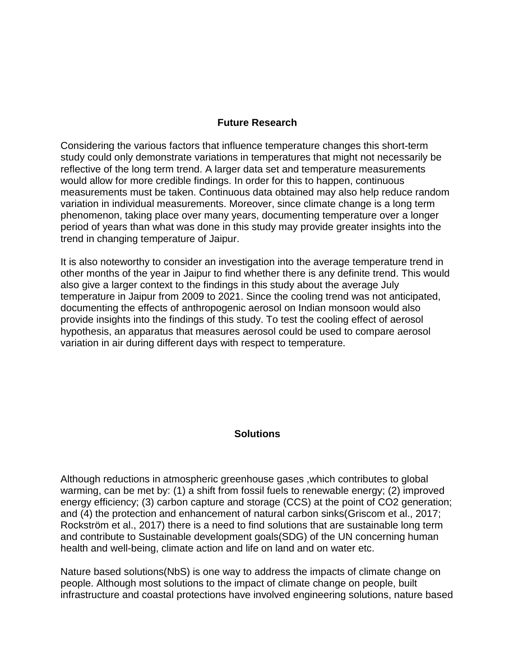# **Future Research**

Considering the various factors that influence temperature changes this short-term study could only demonstrate variations in temperatures that might not necessarily be reflective of the long term trend. A larger data set and temperature measurements would allow for more credible findings. In order for this to happen, continuous measurements must be taken. Continuous data obtained may also help reduce random variation in individual measurements. Moreover, since climate change is a long term phenomenon, taking place over many years, documenting temperature over a longer period of years than what was done in this study may provide greater insights into the trend in changing temperature of Jaipur.

It is also noteworthy to consider an investigation into the average temperature trend in other months of the year in Jaipur to find whether there is any definite trend. This would also give a larger context to the findings in this study about the average July temperature in Jaipur from 2009 to 2021. Since the cooling trend was not anticipated, documenting the effects of anthropogenic aerosol on Indian monsoon would also provide insights into the findings of this study. To test the cooling effect of aerosol hypothesis, an apparatus that measures aerosol could be used to compare aerosol variation in air during different days with respect to temperature.

### **Solutions**

Although reductions in atmospheric greenhouse gases ,which contributes to global warming, can be met by: (1) a shift from fossil fuels to renewable energy; (2) improved energy efficiency; (3) carbon capture and storage (CCS) at the point of CO2 generation; and (4) the protection and enhancement of natural carbon sinks[\(Griscom et al., 2017;](https://www.frontiersin.org/articles/10.3389/fmars.2018.00337/full#B57) [Rockström et al., 2017\)](https://www.frontiersin.org/articles/10.3389/fmars.2018.00337/full#B123) there is a need to find solutions that are sustainable long term and contribute to Sustainable development goals(SDG) of the UN concerning human health and well-being, climate action and life on land and on water etc.

Nature based solutions(NbS) is one way to address the impacts of climate change on people. Although most solutions to the impact of climate change on people, built infrastructure and coastal protections have involved engineering solutions, nature based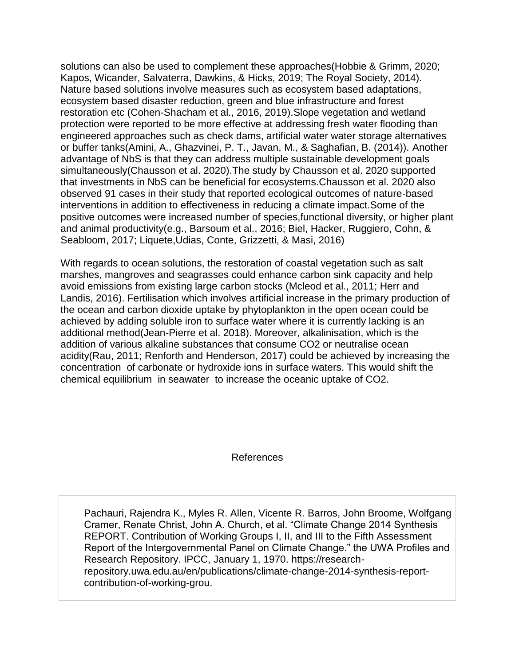solutions can also be used to complement these approaches(Hobbie & Grimm, 2020; Kapos, Wicander, Salvaterra, Dawkins, & Hicks, 2019; The Royal Society, 2014). Nature based solutions involve measures such as ecosystem based adaptations, ecosystem based disaster reduction, green and blue infrastructure and forest restoration etc (Cohen-Shacham et al., 2016, 2019).Slope vegetation and wetland protection were reported to be more effective at addressing fresh water flooding than engineered approaches such as check dams, artificial water water storage alternatives or buffer tanks(Amini, A., Ghazvinei, P. T., Javan, M., & Saghafian, B. (2014)). Another advantage of NbS is that they can address multiple sustainable development goals simultaneously(Chausson et al. 2020).The study by Chausson et al. 2020 supported that investments in NbS can be beneficial for ecosystems.Chausson et al. 2020 also observed 91 cases in their study that reported ecological outcomes of nature-based interventions in addition to effectiveness in reducing a climate impact.Some of the positive outcomes were increased number of species,functional diversity, or higher plant and animal productivity(e.g., Barsoum et al., 2016; Biel, Hacker, Ruggiero, Cohn, & Seabloom, 2017; Liquete,Udias, Conte, Grizzetti, & Masi, 2016)

With regards to ocean solutions, the restoration of coastal vegetation such as salt marshes, mangroves and seagrasses could enhance carbon sink capacity and help avoid emissions from existing large carbon stocks [\(Mcleod et al., 2011;](https://www.frontiersin.org/articles/10.3389/fmars.2018.00337/full#B95) [Herr and](https://www.frontiersin.org/articles/10.3389/fmars.2018.00337/full#B64)  [Landis, 2016\)](https://www.frontiersin.org/articles/10.3389/fmars.2018.00337/full#B64). Fertilisation which involves artificial increase in the primary production of the ocean and carbon dioxide uptake by phytoplankton in the open ocean could be achieved by adding soluble iron to surface water where it is currently lacking is an additional method(Jean-Pierre et al. 2018). Moreover, alkalinisation, which is the addition of various alkaline substances that consume CO2 or neutralise ocean acidity[\(Rau, 2011;](https://www.frontiersin.org/articles/10.3389/fmars.2018.00337/full#B115) [Renforth and Henderson, 2017\)](https://www.frontiersin.org/articles/10.3389/fmars.2018.00337/full#B119) could be achieved by increasing the concentration of carbonate or hydroxide ions in surface waters. This would shift the chemical equilibrium in seawater to increase the oceanic uptake of CO2.

### References

Pachauri, Rajendra K., Myles R. Allen, Vicente R. Barros, John Broome, Wolfgang Cramer, Renate Christ, John A. Church, et al. "Climate Change 2014 Synthesis REPORT. Contribution of Working Groups I, II, and III to the Fifth Assessment Report of the Intergovernmental Panel on Climate Change." the UWA Profiles and Research Repository. IPCC, January 1, 1970. https://researchrepository.uwa.edu.au/en/publications/climate-change-2014-synthesis-reportcontribution-of-working-grou.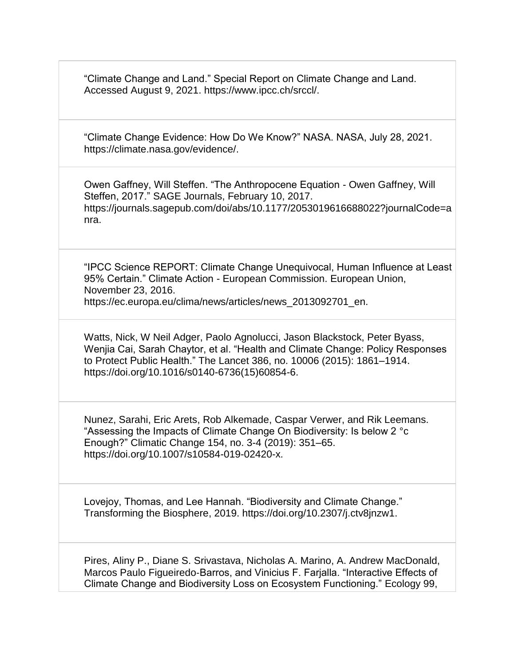"Climate Change and Land." Special Report on Climate Change and Land. Accessed August 9, 2021. https://www.ipcc.ch/srccl/.

"Climate Change Evidence: How Do We Know?" NASA. NASA, July 28, 2021. https://climate.nasa.gov/evidence/.

Owen Gaffney, Will Steffen. "The Anthropocene Equation - Owen Gaffney, Will Steffen, 2017." SAGE Journals, February 10, 2017. https://journals.sagepub.com/doi/abs/10.1177/2053019616688022?journalCode=a nra.

"IPCC Science REPORT: Climate Change Unequivocal, Human Influence at Least 95% Certain." Climate Action - European Commission. European Union, November 23, 2016.

https://ec.europa.eu/clima/news/articles/news\_2013092701\_en.

Watts, Nick, W Neil Adger, Paolo Agnolucci, Jason Blackstock, Peter Byass, Wenjia Cai, Sarah Chaytor, et al. "Health and Climate Change: Policy Responses to Protect Public Health." The Lancet 386, no. 10006 (2015): 1861–1914. https://doi.org/10.1016/s0140-6736(15)60854-6.

Nunez, Sarahi, Eric Arets, Rob Alkemade, Caspar Verwer, and Rik Leemans. "Assessing the Impacts of Climate Change On Biodiversity: Is below 2 °c Enough?" Climatic Change 154, no. 3-4 (2019): 351–65. https://doi.org/10.1007/s10584-019-02420-x.

Lovejoy, Thomas, and Lee Hannah. "Biodiversity and Climate Change." Transforming the Biosphere, 2019. https://doi.org/10.2307/j.ctv8jnzw1.

Pires, Aliny P., Diane S. Srivastava, Nicholas A. Marino, A. Andrew MacDonald, Marcos Paulo Figueiredo‐Barros, and Vinicius F. Farjalla. "Interactive Effects of Climate Change and Biodiversity Loss on Ecosystem Functioning." Ecology 99,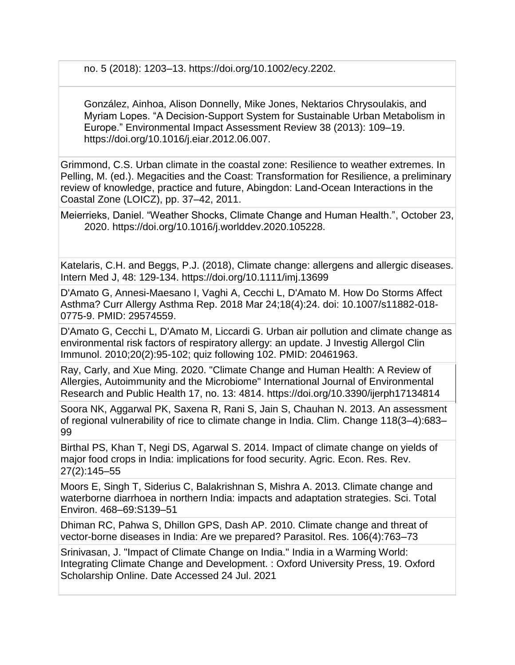no. 5 (2018): 1203–13. https://doi.org/10.1002/ecy.2202.

González, Ainhoa, Alison Donnelly, Mike Jones, Nektarios Chrysoulakis, and Myriam Lopes. "A Decision-Support System for Sustainable Urban Metabolism in Europe." Environmental Impact Assessment Review 38 (2013): 109–19. https://doi.org/10.1016/j.eiar.2012.06.007.

Grimmond, C.S. Urban climate in the coastal zone: Resilience to weather extremes. In Pelling, M. (ed.). Megacities and the Coast: Transformation for Resilience, a preliminary review of knowledge, practice and future, Abingdon: Land-Ocean Interactions in the Coastal Zone (LOICZ), pp. 37–42, 2011.

Meierrieks, Daniel. "Weather Shocks, Climate Change and Human Health.", October 23, 2020. https://doi.org/10.1016/j.worlddev.2020.105228.

Katelaris, C.H. and Beggs, P.J. (2018), Climate change: allergens and allergic diseases. Intern Med J, 48: 129-134. <https://doi.org/10.1111/imj.13699>

D'Amato G, Annesi-Maesano I, Vaghi A, Cecchi L, D'Amato M. How Do Storms Affect Asthma? Curr Allergy Asthma Rep. 2018 Mar 24;18(4):24. doi: 10.1007/s11882-018- 0775-9. PMID: 29574559.

D'Amato G, Cecchi L, D'Amato M, Liccardi G. Urban air pollution and climate change as environmental risk factors of respiratory allergy: an update. J Investig Allergol Clin Immunol. 2010;20(2):95-102; quiz following 102. PMID: 20461963.

Ray, Carly, and Xue Ming. 2020. "Climate Change and Human Health: A Review of Allergies, Autoimmunity and the Microbiome" International Journal of Environmental Research and Public Health 17, no. 13: 4814. https://doi.org/10.3390/ijerph17134814

Soora NK, Aggarwal PK, Saxena R, Rani S, Jain S, Chauhan N. 2013. An assessment of regional vulnerability of rice to climate change in India. Clim. Change 118(3–4):683– 99

Birthal PS, Khan T, Negi DS, Agarwal S. 2014. Impact of climate change on yields of major food crops in India: implications for food security. Agric. Econ. Res. Rev. 27(2):145–55

Moors E, Singh T, Siderius C, Balakrishnan S, Mishra A. 2013. Climate change and waterborne diarrhoea in northern India: impacts and adaptation strategies. Sci. Total Environ. 468–69:S139–51

Dhiman RC, Pahwa S, Dhillon GPS, Dash AP. 2010. Climate change and threat of vector-borne diseases in India: Are we prepared? Parasitol. Res. 106(4):763–73

Srinivasan, J. "Impact of Climate Change on India." India in a Warming World: Integrating Climate Change and Development. : Oxford University Press, 19. Oxford Scholarship Online. Date Accessed 24 Jul. 2021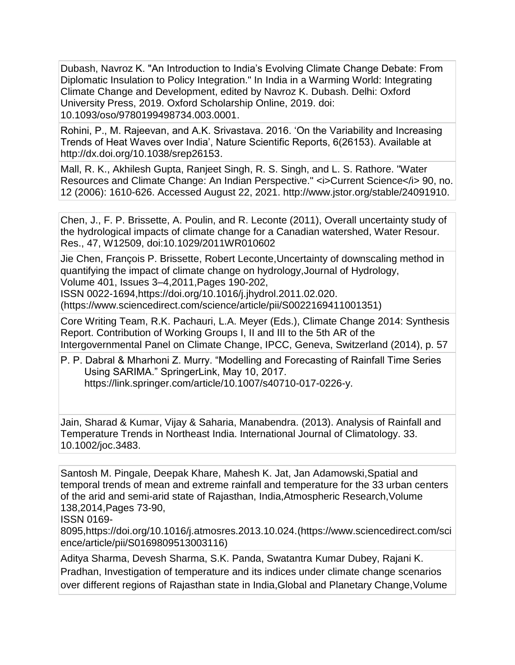Dubash, Navroz K. "An Introduction to India"s Evolving Climate Change Debate: From Diplomatic Insulation to Policy Integration." In India in a Warming World: Integrating Climate Change and Development, edited by Navroz K. Dubash. Delhi: Oxford University Press, 2019. Oxford Scholarship Online, 2019. doi: 10.1093/oso/9780199498734.003.0001.

[Rohini, P., M. Rajeevan, and A.K. Srivastava. 2016. "On the Variability and Increasing](http://dx.doi.org/10.1038/srep26153)  [Trends of Heat Waves over India", Nature Scientific Reports, 6\(26153\). Available at](http://dx.doi.org/10.1038/srep26153)  [http://dx.doi.org/10.1038/srep26153.](http://dx.doi.org/10.1038/srep26153)

Mall, R. K., Akhilesh Gupta, Ranjeet Singh, R. S. Singh, and L. S. Rathore. "Water Resources and Climate Change: An Indian Perspective." <i>Current Science</i> 90, no. 12 (2006): 1610-626. Accessed August 22, 2021. http://www.jstor.org/stable/24091910.

Chen, J., F. P. Brissette, A. Poulin, and R. Leconte (2011), Overall uncertainty study of the hydrological impacts of climate change for a Canadian watershed, Water Resour. Res., 47, W12509, doi:10.1029/2011WR010602

Jie Chen, François P. Brissette, Robert Leconte,Uncertainty of downscaling method in quantifying the impact of climate change on hydrology,Journal of Hydrology, Volume 401, Issues 3–4,2011,Pages 190-202,

ISSN 0022-1694,https://doi.org/10.1016/j.jhydrol.2011.02.020. (https://www.sciencedirect.com/science/article/pii/S0022169411001351)

Core Writing Team, R.K. Pachauri, L.A. Meyer (Eds.), Climate Change 2014: Synthesis Report. Contribution of Working Groups I, II and III to the 5th AR of the Intergovernmental Panel on Climate Change, IPCC, Geneva, Switzerland (2014), p. 57

P. P. Dabral & Mharhoni Z. Murry. "Modelling and Forecasting of Rainfall Time Series Using SARIMA." SpringerLink, May 10, 2017. https://link.springer.com/article/10.1007/s40710-017-0226-y.

Jain, Sharad & Kumar, Vijay & Saharia, Manabendra. (2013). Analysis of Rainfall and Temperature Trends in Northeast India. International Journal of Climatology. 33. 10.1002/joc.3483.

Santosh M. Pingale, Deepak Khare, Mahesh K. Jat, Jan Adamowski,Spatial and temporal trends of mean and extreme rainfall and temperature for the 33 urban centers of the arid and semi-arid state of Rajasthan, India,Atmospheric Research,Volume 138,2014,Pages 73-90,

ISSN 0169-

8095,https://doi.org/10.1016/j.atmosres.2013.10.024.(https://www.sciencedirect.com/sci ence/article/pii/S0169809513003116)

Aditya Sharma, Devesh Sharma, S.K. Panda, Swatantra Kumar Dubey, Rajani K. Pradhan, Investigation of temperature and its indices under climate change scenarios over different regions of Rajasthan state in India, Global and Planetary Change, Volume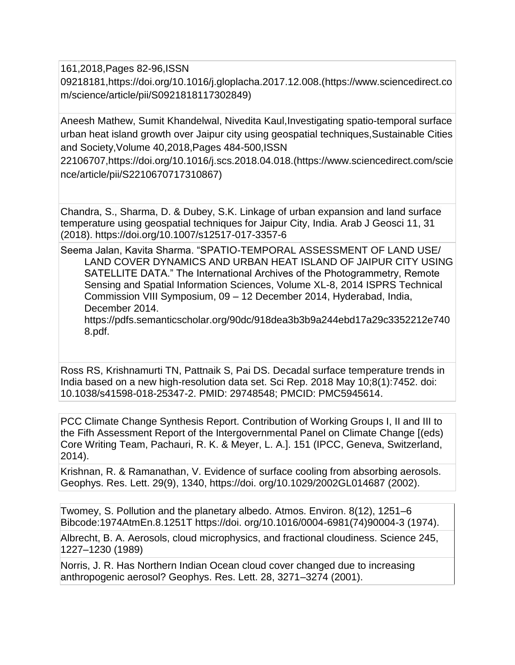161,2018,Pages 82-96,ISSN

09218181,https://doi.org/10.1016/j.gloplacha.2017.12.008.(https://www.sciencedirect.co m/science/article/pii/S0921818117302849)

Aneesh Mathew, Sumit Khandelwal, Nivedita Kaul,Investigating spatio-temporal surface urban heat island growth over Jaipur city using geospatial techniques,Sustainable Cities and Society,Volume 40,2018,Pages 484-500,ISSN

22106707,https://doi.org/10.1016/j.scs.2018.04.018.(https://www.sciencedirect.com/scie nce/article/pii/S2210670717310867)

Chandra, S., Sharma, D. & Dubey, S.K. Linkage of urban expansion and land surface temperature using geospatial techniques for Jaipur City, India. Arab J Geosci 11, 31 (2018). https://doi.org/10.1007/s12517-017-3357-6

Seema Jalan, Kavita Sharma. "SPATIO-TEMPORAL ASSESSMENT OF LAND USE/ LAND COVER DYNAMICS AND URBAN HEAT ISLAND OF JAIPUR CITY USING SATELLITE DATA." The International Archives of the Photogrammetry, Remote Sensing and Spatial Information Sciences, Volume XL-8, 2014 ISPRS Technical Commission VIII Symposium, 09 – 12 December 2014, Hyderabad, India, December 2014.

https://pdfs.semanticscholar.org/90dc/918dea3b3b9a244ebd17a29c3352212e740 8.pdf.

Ross RS, Krishnamurti TN, Pattnaik S, Pai DS. Decadal surface temperature trends in India based on a new high-resolution data set. Sci Rep. 2018 May 10;8(1):7452. doi: 10.1038/s41598-018-25347-2. PMID: 29748548; PMCID: PMC5945614.

PCC Climate Change Synthesis Report. Contribution of Working Groups I, II and III to the Fifh Assessment Report of the Intergovernmental Panel on Climate Change [(eds) Core Writing Team, Pachauri, R. K. & Meyer, L. A.]. 151 (IPCC, Geneva, Switzerland, 2014).

Krishnan, R. & Ramanathan, V. Evidence of surface cooling from absorbing aerosols. Geophys. Res. Lett. 29(9), 1340, https://doi. org/10.1029/2002GL014687 (2002).

Twomey, S. Pollution and the planetary albedo. Atmos. Environ. 8(12), 1251–6 Bibcode:1974AtmEn.8.1251T https://doi. org/10.1016/0004-6981(74)90004-3 (1974).

Albrecht, B. A. Aerosols, cloud microphysics, and fractional cloudiness. Science 245, 1227–1230 (1989)

Norris, J. R. Has Northern Indian Ocean cloud cover changed due to increasing anthropogenic aerosol? Geophys. Res. Lett. 28, 3271–3274 (2001).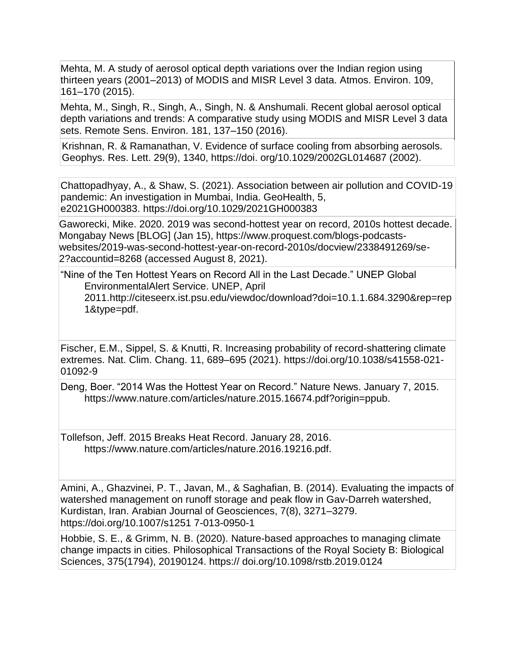Mehta, M. A study of aerosol optical depth variations over the Indian region using thirteen years (2001–2013) of MODIS and MISR Level 3 data. Atmos. Environ. 109, 161–170 (2015).

Mehta, M., Singh, R., Singh, A., Singh, N. & Anshumali. Recent global aerosol optical depth variations and trends: A comparative study using MODIS and MISR Level 3 data sets. Remote Sens. Environ. 181, 137–150 (2016).

Krishnan, R. & Ramanathan, V. Evidence of surface cooling from absorbing aerosols. Geophys. Res. Lett. 29(9), 1340, https://doi. org/10.1029/2002GL014687 (2002).

Chattopadhyay, A., & Shaw, S. (2021). Association between air pollution and COVID-19 pandemic: An investigation in Mumbai, India. GeoHealth, 5, e2021GH000383. <https://doi.org/10.1029/2021GH000383>

Gaworecki, Mike. 2020. 2019 was second-hottest year on record, 2010s hottest decade. Mongabay News [BLOG] (Jan 15), https://www.proquest.com/blogs-podcastswebsites/2019-was-second-hottest-year-on-record-2010s/docview/2338491269/se-2?accountid=8268 (accessed August 8, 2021).

"Nine of the Ten Hottest Years on Record All in the Last Decade." UNEP Global EnvironmentalAlert Service. UNEP, April 2011.http://citeseerx.ist.psu.edu/viewdoc/download?doi=10.1.1.684.3290&rep=rep 1&type=pdf.

Fischer, E.M., Sippel, S. & Knutti, R. Increasing probability of record-shattering climate extremes. Nat. Clim. Chang. 11, 689–695 (2021). https://doi.org/10.1038/s41558-021- 01092-9

Deng, Boer. "2014 Was the Hottest Year on Record." Nature News. January 7, 2015. https://www.nature.com/articles/nature.2015.16674.pdf?origin=ppub.

Tollefson, Jeff. 2015 Breaks Heat Record. January 28, 2016. https://www.nature.com/articles/nature.2016.19216.pdf.

Amini, A., Ghazvinei, P. T., Javan, M., & Saghafian, B. (2014). Evaluating the impacts of watershed management on runoff storage and peak flow in Gav-Darreh watershed, Kurdistan, Iran. Arabian Journal of Geosciences, 7(8), 3271–3279. https://doi.org/10.1007/s1251 7-013-0950-1

Hobbie, S. E., & Grimm, N. B. (2020). Nature-based approaches to managing climate change impacts in cities. Philosophical Transactions of the Royal Society B: Biological Sciences, 375(1794), 20190124. https:// doi.org/10.1098/rstb.2019.0124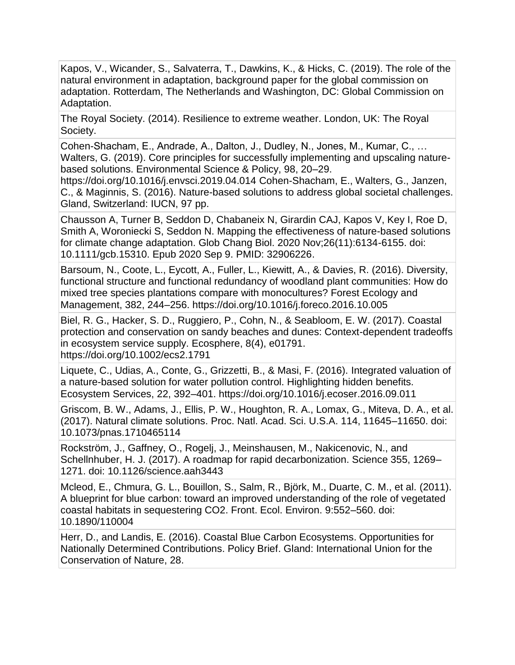Kapos, V., Wicander, S., Salvaterra, T., Dawkins, K., & Hicks, C. (2019). The role of the natural environment in adaptation, background paper for the global commission on adaptation. Rotterdam, The Netherlands and Washington, DC: Global Commission on Adaptation.

The Royal Society. (2014). Resilience to extreme weather. London, UK: The Royal Society.

Cohen-Shacham, E., Andrade, A., Dalton, J., Dudley, N., Jones, M., Kumar, C., … Walters, G. (2019). Core principles for successfully implementing and upscaling naturebased solutions. Environmental Science & Policy, 98, 20–29[.](https://doi.org/10.1016/j.envsci.2019.04.014)

<https://doi.org/10.1016/j.envsci.2019.04.014> Cohen-Shacham, E., Walters, G., Janzen, C., & Maginnis, S. (2016). Nature-based solutions to address global societal challenges. Gland, Switzerland: IUCN, 97 pp.

Chausson A, Turner B, Seddon D, Chabaneix N, Girardin CAJ, Kapos V, Key I, Roe D, Smith A, Woroniecki S, Seddon N. Mapping the effectiveness of nature-based solutions for climate change adaptation. Glob Chang Biol. 2020 Nov;26(11):6134-6155. doi: 10.1111/gcb.15310. Epub 2020 Sep 9. PMID: 32906226.

Barsoum, N., Coote, L., Eycott, A., Fuller, L., Kiewitt, A., & Davies, R. (2016). Diversity, functional structure and functional redundancy of woodland plant communities: How do mixed tree species plantations compare with monocultures? Forest Ecology and Management, 382, 244–256. https://doi.org/10.1016/j.foreco.2016.10.005

Biel, R. G., Hacker, S. D., Ruggiero, P., Cohn, N., & Seabloom, E. W. (2017). Coastal protection and conservation on sandy beaches and dunes: Context-dependent tradeoffs in ecosystem service supply. Ecosphere, 8(4), e01791. https://doi.org/10.1002/ecs2.1791

Liquete, C., Udias, A., Conte, G., Grizzetti, B., & Masi, F. (2016). Integrated valuation of a nature-based solution for water pollution control. Highlighting hidden benefits. Ecosystem Services, 22, 392–401. https://doi.org/10.1016/j.ecoser.2016.09.011

Griscom, B. W., Adams, J., Ellis, P. W., Houghton, R. A., Lomax, G., Miteva, D. A., et al. (2017). Natural climate solutions. Proc. Natl. Acad. Sci. U.S.A. 114, 11645–11650. doi: 10.1073/pnas.1710465114

Rockström, J., Gaffney, O., Rogelj, J., Meinshausen, M., Nakicenovic, N., and Schellnhuber, H. J. (2017). A roadmap for rapid decarbonization. Science 355, 1269– 1271. doi: 10.1126/science.aah3443

Mcleod, E., Chmura, G. L., Bouillon, S., Salm, R., Björk, M., Duarte, C. M., et al. (2011). A blueprint for blue carbon: toward an improved understanding of the role of vegetated coastal habitats in sequestering CO2. Front. Ecol. Environ. 9:552–560. doi: 10.1890/110004

Herr, D., and Landis, E. (2016). Coastal Blue Carbon Ecosystems. Opportunities for Nationally Determined Contributions. Policy Brief. Gland: International Union for the Conservation of Nature, 28.